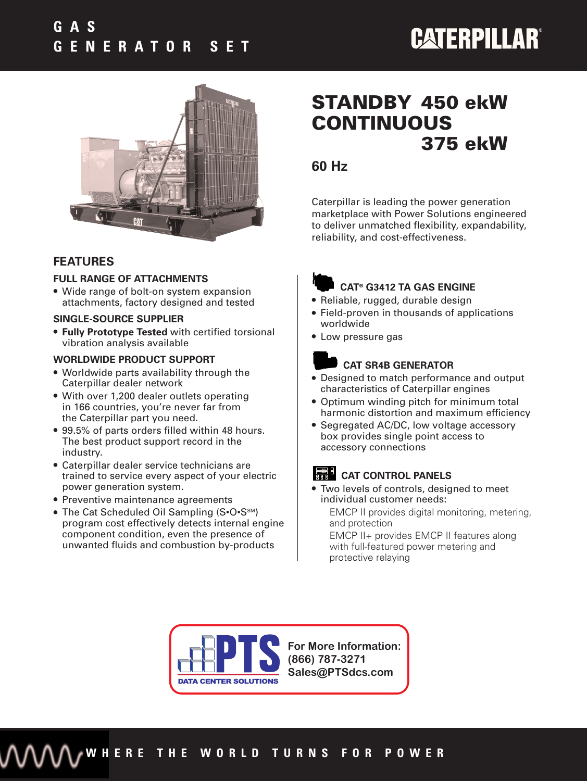

#### **FEATURES**

#### **FULL RANGE OF ATTACHMENTS**

● Wide range of bolt-on system expansion attachments, factory designed and tested

#### **SINGLE-SOURCE SUPPLIER**

● **Fully Prototype Tested** with certified torsional vibration analysis available

#### **WORLDWIDE PRODUCT SUPPORT**

- Worldwide parts availability through the Caterpillar dealer network
- With over 1,200 dealer outlets operating in 166 countries, you're never far from the Caterpillar part you need.
- 99.5% of parts orders filled within 48 hours. The best product support record in the industry.
- Caterpillar dealer service technicians are trained to service every aspect of your electric power generation system.
- Preventive maintenance agreements
- The Cat Scheduled Oil Sampling (S•O•S<sup>SM</sup>) program cost effectively detects internal engine component condition, even the presence of unwanted fluids and combustion by-products

## **STANDBY 450 ekW CONTINUOUS 375 ekW**

### **60 Hz**

Caterpillar is leading the power generation marketplace with Power Solutions engineered to deliver unmatched flexibility, expandability, reliability, and cost-effectiveness.



#### **CAT® G3412 TA GAS ENGINE**

- Reliable, rugged, durable design
- Field-proven in thousands of applications worldwide
- Low pressure gas

#### **CAT SR4B GENERATOR**

- Designed to match performance and output characteristics of Caterpillar engines
- Optimum winding pitch for minimum total harmonic distortion and maximum efficiency
- Segregated AC/DC, low voltage accessory box provides single point access to accessory connections

### **CAT CONTROL PANELS**

● Two levels of controls, designed to meet individual customer needs: EMCP II provides digital monitoring, metering, and protection EMCP II+ provides EMCP II features along

with full-featured power metering and protective relaying



**For More Information: (866) 787-3271 Sales@PTSdcs.com**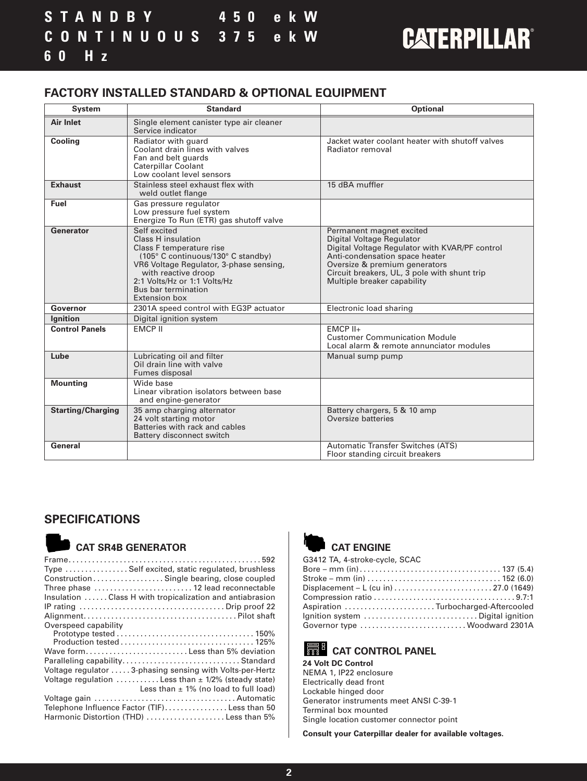#### **FACTORY INSTALLED STANDARD & OPTIONAL EQUIPMENT**

| <b>System</b>            | <b>Standard</b>                                                                                                                                                                                                                                       | <b>Optional</b>                                                                                                                                                                                                                                           |  |  |
|--------------------------|-------------------------------------------------------------------------------------------------------------------------------------------------------------------------------------------------------------------------------------------------------|-----------------------------------------------------------------------------------------------------------------------------------------------------------------------------------------------------------------------------------------------------------|--|--|
| <b>Air Inlet</b>         | Single element canister type air cleaner<br>Service indicator                                                                                                                                                                                         |                                                                                                                                                                                                                                                           |  |  |
| <b>Cooling</b>           | Radiator with guard<br>Coolant drain lines with valves<br>Fan and belt guards<br><b>Caterpillar Coolant</b><br>Low coolant level sensors                                                                                                              | Jacket water coolant heater with shutoff valves<br>Radiator removal                                                                                                                                                                                       |  |  |
| <b>Exhaust</b>           | Stainless steel exhaust flex with<br>weld outlet flange                                                                                                                                                                                               | 15 dBA muffler                                                                                                                                                                                                                                            |  |  |
| Fuel                     | Gas pressure regulator<br>Low pressure fuel system<br>Energize To Run (ETR) gas shutoff valve                                                                                                                                                         |                                                                                                                                                                                                                                                           |  |  |
| Generator                | Self excited<br><b>Class H</b> insulation<br>Class F temperature rise<br>(105° C continuous/130° C standby)<br>VR6 Voltage Regulator, 3-phase sensing,<br>with reactive droop<br>2:1 Volts/Hz or 1:1 Volts/Hz<br>Bus bar termination<br>Extension box | Permanent magnet excited<br>Digital Voltage Regulator<br>Digital Voltage Regulator with KVAR/PF control<br>Anti-condensation space heater<br>Oversize & premium generators<br>Circuit breakers, UL, 3 pole with shunt trip<br>Multiple breaker capability |  |  |
| Governor                 | 2301A speed control with EG3P actuator                                                                                                                                                                                                                | Electronic load sharing                                                                                                                                                                                                                                   |  |  |
| <b>Ignition</b>          | Digital ignition system                                                                                                                                                                                                                               |                                                                                                                                                                                                                                                           |  |  |
| <b>Control Panels</b>    | <b>FMCP II</b>                                                                                                                                                                                                                                        | $EMCP$ $II+$<br><b>Customer Communication Module</b><br>Local alarm & remote annunciator modules                                                                                                                                                          |  |  |
| Lube                     | Lubricating oil and filter<br>Oil drain line with valve<br>Fumes disposal                                                                                                                                                                             | Manual sump pump                                                                                                                                                                                                                                          |  |  |
| <b>Mounting</b>          | Wide base<br>Linear vibration isolators between base<br>and engine-generator                                                                                                                                                                          |                                                                                                                                                                                                                                                           |  |  |
| <b>Starting/Charging</b> | 35 amp charging alternator<br>24 volt starting motor<br>Batteries with rack and cables<br>Battery disconnect switch                                                                                                                                   | Battery chargers, 5 & 10 amp<br>Oversize batteries                                                                                                                                                                                                        |  |  |
| General                  |                                                                                                                                                                                                                                                       | Automatic Transfer Switches (ATS)<br>Floor standing circuit breakers                                                                                                                                                                                      |  |  |

#### **SPECIFICATIONS**

### **CAT SR4B GENERATOR**

| Type  Self excited, static regulated, brushless                               |
|-------------------------------------------------------------------------------|
| Construction Single bearing, close coupled                                    |
| Three phase  12 lead reconnectable                                            |
| Insulation Class H with tropicalization and antiabrasion                      |
|                                                                               |
|                                                                               |
| Overspeed capability                                                          |
|                                                                               |
|                                                                               |
| Wave form Less than 5% deviation                                              |
|                                                                               |
| Voltage regulator  3-phasing sensing with Volts-per-Hertz                     |
| Voltage regulation $\ldots \ldots \ldots$ Less than $\pm$ 1/2% (steady state) |
| Less than $\pm$ 1% (no load to full load)                                     |
|                                                                               |
| Telephone Influence Factor (TIF)Less than 50                                  |
| Harmonic Distortion (THD) Less than 5%                                        |
|                                                                               |



#### **CAT ENGINE**

| G3412 TA, 4-stroke-cycle, SCAC      |  |
|-------------------------------------|--|
|                                     |  |
|                                     |  |
|                                     |  |
|                                     |  |
| Aspiration Turbocharged-Aftercooled |  |
| Ignition system  Digital ignition   |  |
| Governor type  Woodward 2301A       |  |

### **CAT CONTROL PANEL**

**24 Volt DC Control** NEMA 1, IP22 enclosure Electrically dead front Lockable hinged door Generator instruments meet ANSI C-39-1 Terminal box mounted Single location customer connector point

**Consult your Caterpillar dealer for available voltages.**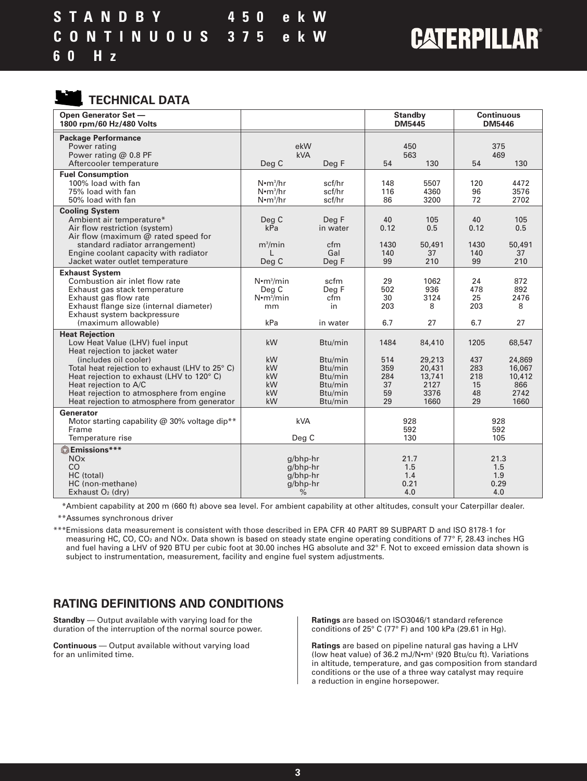**TECHNICAL DATA**

| Open Generator Set -<br>1800 rpm/60 Hz/480 Volts                                                                                                                                                                                                                                                             |                                                                 |                                                                                        | <b>Standby</b><br><b>DM5445</b>             |                                                              | <b>Continuous</b><br><b>DM5446</b>          |                                                             |
|--------------------------------------------------------------------------------------------------------------------------------------------------------------------------------------------------------------------------------------------------------------------------------------------------------------|-----------------------------------------------------------------|----------------------------------------------------------------------------------------|---------------------------------------------|--------------------------------------------------------------|---------------------------------------------|-------------------------------------------------------------|
| <b>Package Performance</b><br>Power rating<br>Power rating $@$ 0.8 PF<br>Aftercooler temperature                                                                                                                                                                                                             | Deg C                                                           | ekW<br><b>kVA</b><br>Deg F                                                             | 450<br>563<br>54<br>130                     |                                                              | 375<br>469<br>54<br>130                     |                                                             |
| <b>Fuel Consumption</b><br>100% load with fan<br>75% load with fan<br>50% load with fan                                                                                                                                                                                                                      | $N$ • $m^3/hr$<br>$N$ • $m^3/hr$<br>$N$ • $m^3/hr$              | scf/hr<br>scf/hr<br>scf/hr                                                             | 148<br>116<br>86                            | 5507<br>4360<br>3200                                         | 120<br>96<br>72                             | 4472<br>3576<br>2702                                        |
| <b>Cooling System</b><br>Ambient air temperature*<br>Air flow restriction (system)<br>Air flow (maximum $@$ rated speed for<br>standard radiator arrangement)<br>Engine coolant capacity with radiator                                                                                                       | Deg C<br>kPa<br>m <sup>3</sup> /min                             | Deg F<br>in water<br>cfm<br>Gal                                                        | 40<br>0.12<br>1430<br>140                   | 105<br>0.5<br>50,491<br>37                                   | 40<br>0.12<br>1430<br>140                   | 105<br>0.5<br>50,491<br>37                                  |
| Jacket water outlet temperature<br><b>Exhaust System</b>                                                                                                                                                                                                                                                     | Deg C                                                           | Deg F                                                                                  | 99                                          | 210                                                          | 99                                          | 210                                                         |
| Combustion air inlet flow rate<br>Exhaust gas stack temperature<br>Exhaust gas flow rate<br>Exhaust flange size (internal diameter)<br>Exhaust system backpressure<br>(maximum allowable)                                                                                                                    | $N \cdot m^3 / min$<br>Deg C<br>$N \cdot m^3/m$ in<br>mm<br>kPa | scfm<br>Deg F<br>cfm<br>in<br>in water                                                 | 29<br>502<br>30<br>203<br>6.7               | 1062<br>936<br>3124<br>8<br>27                               | 24<br>478<br>25<br>203<br>6.7               | 872<br>892<br>2476<br>8<br>27                               |
| <b>Heat Rejection</b>                                                                                                                                                                                                                                                                                        |                                                                 |                                                                                        |                                             |                                                              |                                             |                                                             |
| Low Heat Value (LHV) fuel input<br>Heat rejection to jacket water<br>(includes oil cooler)<br>Total heat rejection to exhaust (LHV to 25° C)<br>Heat rejection to exhaust (LHV to 120°C)<br>Heat rejection to A/C<br>Heat rejection to atmosphere from engine<br>Heat rejection to atmosphere from generator | kW<br>kW<br>kW<br>kW<br>kW<br>kW<br>kW                          | Btu/min<br>Btu/min<br>B <sub>tu</sub> /min<br>Btu/min<br>Btu/min<br>Btu/min<br>Btu/min | 1484<br>514<br>359<br>284<br>37<br>59<br>29 | 84,410<br>29,213<br>20,431<br>13,741<br>2127<br>3376<br>1660 | 1205<br>437<br>283<br>218<br>15<br>48<br>29 | 68,547<br>24,869<br>16,067<br>10,412<br>866<br>2742<br>1660 |
| <b>Generator</b><br>Motor starting capability @ 30% voltage dip**                                                                                                                                                                                                                                            | kVA                                                             |                                                                                        |                                             | 928                                                          |                                             | 928                                                         |
| Frame<br>Temperature rise                                                                                                                                                                                                                                                                                    | Deg C                                                           |                                                                                        | 592<br>130                                  |                                                              | 592<br>105                                  |                                                             |
| <b>OEmissions***</b><br><b>NO<sub>x</sub></b><br>CO<br>HC (total)<br>HC (non-methane)<br>Exhaust O <sub>2</sub> (dry)                                                                                                                                                                                        |                                                                 | $q/b$ hp-hr<br>$g/b$ hp-hr<br>g/bhp-hr<br>g/bhp-hr<br>$\%$                             |                                             | 21.7<br>1.5<br>1.4<br>0.21<br>4.0                            |                                             | 21.3<br>1.5<br>1.9<br>0.29<br>4.0                           |

\*\*\*Ambient capability at 200 m (660 ft) above sea level. For ambient capability at other altitudes, consult your Caterpillar dealer.

\*\*\*Assumes synchronous driver

\*\*\*Emissions data measurement is consistent with those described in EPA CFR 40 PART 89 SUBPART D and ISO 8178-1 for measuring HC, CO, CO<sub>2</sub> and NOx. Data shown is based on steady state engine operating conditions of 77° F, 28.43 inches HG and fuel having a LHV of 920 BTU per cubic foot at 30.00 inches HG absolute and 32° F. Not to exceed emission data shown is subject to instrumentation, measurement, facility and engine fuel system adjustments.

#### **RATING DEFINITIONS AND CONDITIONS**

**Standby** — Output available with varying load for the duration of the interruption of the normal source power.

**Continuous** — Output available without varying load for an unlimited time.

**Ratings** are based on ISO3046/1 standard reference conditions of 25° C (77° F) and 100 kPa (29.61 in Hg).

**Ratings** are based on pipeline natural gas having a LHV (low heat value) of 36.2 mJ/N•m3 (920 Btu/cu ft). Variations in altitude, temperature, and gas composition from standard conditions or the use of a three way catalyst may require a reduction in engine horsepower.